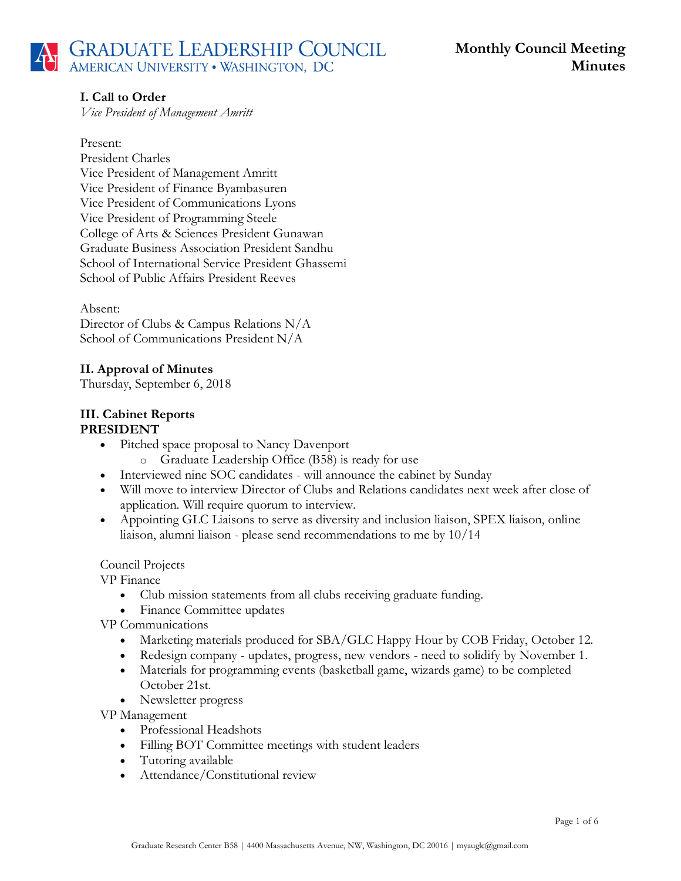# **I. Call to Order**

*Vice President of Management Amritt*

### Present:

President Charles Vice President of Management Amritt Vice President of Finance Byambasuren Vice President of Communications Lyons Vice President of Programming Steele College of Arts & Sciences President Gunawan Graduate Business Association President Sandhu School of International Service President Ghassemi School of Public Affairs President Reeves

Absent: Director of Clubs & Campus Relations N/A School of Communications President N/A

# **II. Approval of Minutes**

Thursday, September 6, 2018

### **III. Cabinet Reports PRESIDENT**

- Pitched space proposal to Nancy Davenport
	- o Graduate Leadership Office (B58) is ready for use
- Interviewed nine SOC candidates will announce the cabinet by Sunday
- Will move to interview Director of Clubs and Relations candidates next week after close of application. Will require quorum to interview.
- Appointing GLC Liaisons to serve as diversity and inclusion liaison, SPEX liaison, online liaison, alumni liaison - please send recommendations to me by 10/14

## Council Projects

VP Finance

- Club mission statements from all clubs receiving graduate funding.
- Finance Committee updates
- VP Communications
	- Marketing materials produced for SBA/GLC Happy Hour by COB Friday, October 12.
	- Redesign company updates, progress, new vendors need to solidify by November 1.
	- Materials for programming events (basketball game, wizards game) to be completed October 21st.
	- Newsletter progress

VP Management

- Professional Headshots
- Filling BOT Committee meetings with student leaders
- Tutoring available
- Attendance/Constitutional review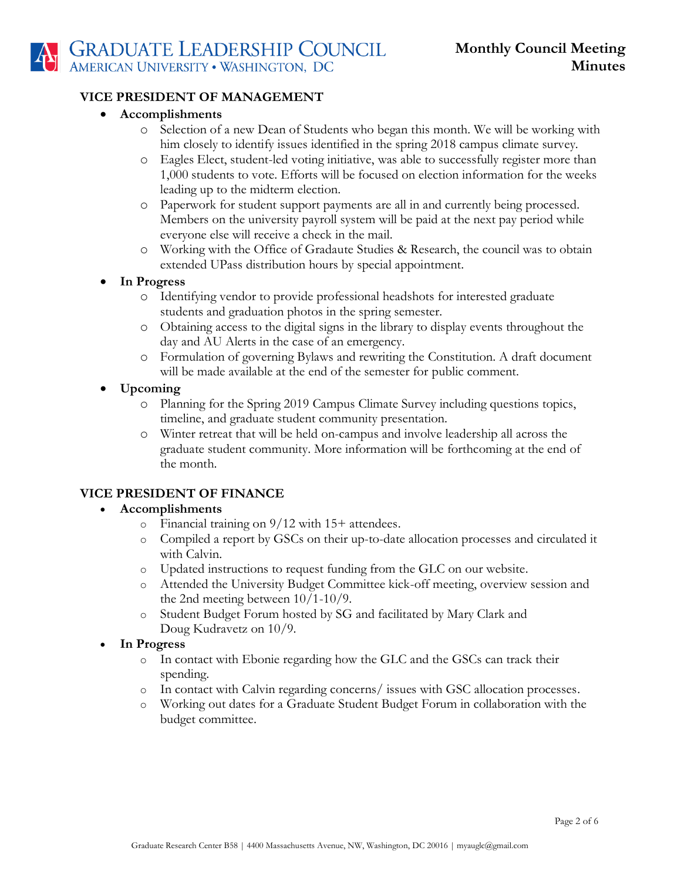## **VICE PRESIDENT OF MANAGEMENT**

## • **Accomplishments**

- o Selection of a new Dean of Students who began this month. We will be working with him closely to identify issues identified in the spring 2018 campus climate survey.
- o Eagles Elect, student-led voting initiative, was able to successfully register more than 1,000 students to vote. Efforts will be focused on election information for the weeks leading up to the midterm election.
- o Paperwork for student support payments are all in and currently being processed. Members on the university payroll system will be paid at the next pay period while everyone else will receive a check in the mail.
- o Working with the Office of Gradaute Studies & Research, the council was to obtain extended UPass distribution hours by special appointment.
- **In Progress**
	- o Identifying vendor to provide professional headshots for interested graduate students and graduation photos in the spring semester.
	- o Obtaining access to the digital signs in the library to display events throughout the day and AU Alerts in the case of an emergency.
	- o Formulation of governing Bylaws and rewriting the Constitution. A draft document will be made available at the end of the semester for public comment.
- **Upcoming**
	- o Planning for the Spring 2019 Campus Climate Survey including questions topics, timeline, and graduate student community presentation.
	- o Winter retreat that will be held on-campus and involve leadership all across the graduate student community. More information will be forthcoming at the end of the month.

# **VICE PRESIDENT OF FINANCE**

## • **Accomplishments**

- o Financial training on 9/12 with 15+ attendees.
- o Compiled a report by GSCs on their up-to-date allocation processes and circulated it with Calvin.
- o Updated instructions to request funding from the GLC on our website.
- o Attended the University Budget Committee kick-off meeting, overview session and the 2nd meeting between 10/1-10/9.
- o Student Budget Forum hosted by SG and facilitated by Mary Clark and Doug Kudravetz on 10/9.
- **In Progress**
	- o In contact with Ebonie regarding how the GLC and the GSCs can track their spending.
	- o In contact with Calvin regarding concerns/ issues with GSC allocation processes.
	- o Working out dates for a Graduate Student Budget Forum in collaboration with the budget committee.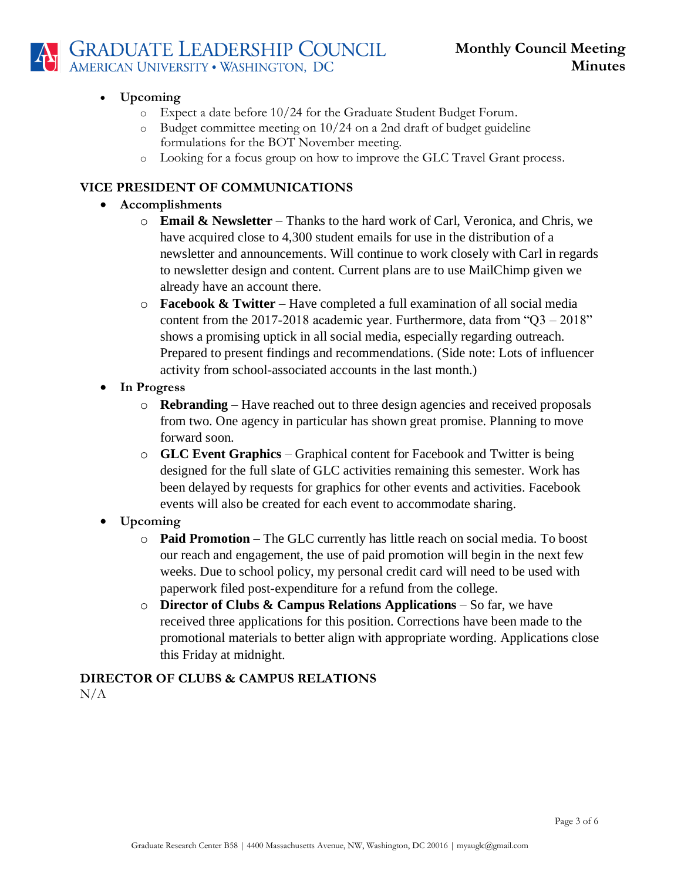

# • **Upcoming**

- o Expect a date before 10/24 for the Graduate Student Budget Forum.
- o Budget committee meeting on 10/24 on a 2nd draft of budget guideline formulations for the BOT November meeting.
- o Looking for a focus group on how to improve the GLC Travel Grant process.

## **VICE PRESIDENT OF COMMUNICATIONS**

- **Accomplishments**
	- o **Email & Newsletter** Thanks to the hard work of Carl, Veronica, and Chris, we have acquired close to 4,300 student emails for use in the distribution of a newsletter and announcements. Will continue to work closely with Carl in regards to newsletter design and content. Current plans are to use MailChimp given we already have an account there.
	- o **Facebook & Twitter**  Have completed a full examination of all social media content from the 2017-2018 academic year. Furthermore, data from " $Q3 - 2018$ " shows a promising uptick in all social media, especially regarding outreach. Prepared to present findings and recommendations. (Side note: Lots of influencer activity from school-associated accounts in the last month.)
- **In Progress**
	- o **Rebranding** Have reached out to three design agencies and received proposals from two. One agency in particular has shown great promise. Planning to move forward soon.
	- o **GLC Event Graphics** Graphical content for Facebook and Twitter is being designed for the full slate of GLC activities remaining this semester. Work has been delayed by requests for graphics for other events and activities. Facebook events will also be created for each event to accommodate sharing.
- **Upcoming**
	- o **Paid Promotion** The GLC currently has little reach on social media. To boost our reach and engagement, the use of paid promotion will begin in the next few weeks. Due to school policy, my personal credit card will need to be used with paperwork filed post-expenditure for a refund from the college.
	- o **Director of Clubs & Campus Relations Applications** So far, we have received three applications for this position. Corrections have been made to the promotional materials to better align with appropriate wording. Applications close this Friday at midnight.

## **DIRECTOR OF CLUBS & CAMPUS RELATIONS**  $N/A$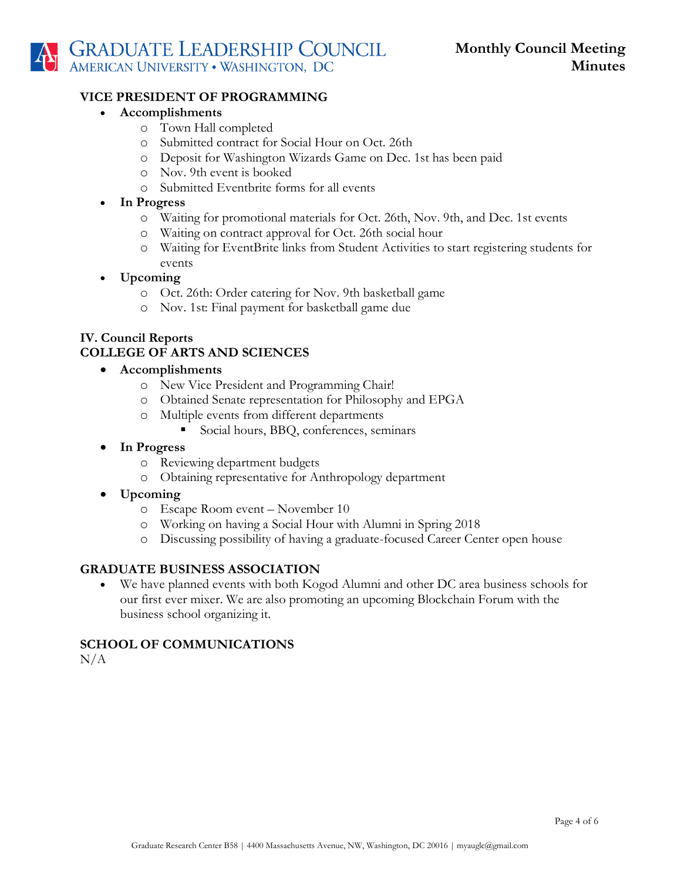

#### **VICE PRESIDENT OF PROGRAMMING**

- **Accomplishments**
	- o Town Hall completed
	- o Submitted contract for Social Hour on Oct. 26th
	- o Deposit for Washington Wizards Game on Dec. 1st has been paid
	- o Nov. 9th event is booked
	- o Submitted Eventbrite forms for all events
- **In Progress**
	- o Waiting for promotional materials for Oct. 26th, Nov. 9th, and Dec. 1st events
	- o Waiting on contract approval for Oct. 26th social hour
	- o Waiting for EventBrite links from Student Activities to start registering students for events

### • **Upcoming**

- o Oct. 26th: Order catering for Nov. 9th basketball game
- o Nov. 1st: Final payment for basketball game due

# **IV. Council Reports COLLEGE OF ARTS AND SCIENCES**

### • **Accomplishments**

- o New Vice President and Programming Chair!
- o Obtained Senate representation for Philosophy and EPGA
- o Multiple events from different departments
	- Social hours, BBQ, conferences, seminars
- **In Progress**
	- o Reviewing department budgets
	- o Obtaining representative for Anthropology department
- **Upcoming**
	- o Escape Room event November 10
	- o Working on having a Social Hour with Alumni in Spring 2018
	- o Discussing possibility of having a graduate-focused Career Center open house

## **GRADUATE BUSINESS ASSOCIATION**

• We have planned events with both Kogod Alumni and other DC area business schools for our first ever mixer. We are also promoting an upcoming Blockchain Forum with the business school organizing it.

## **SCHOOL OF COMMUNICATIONS**

 $N/A$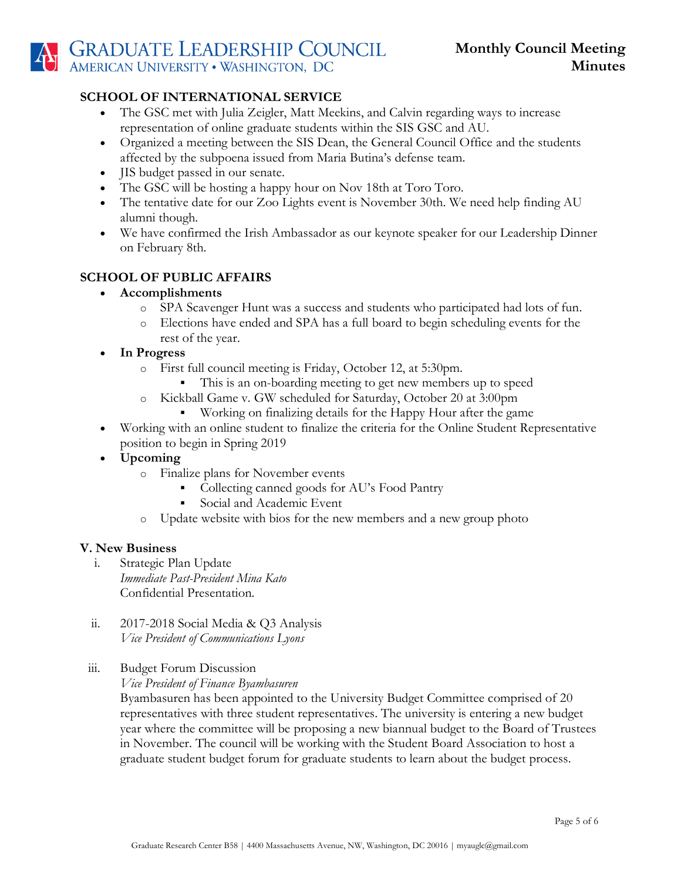# **SCHOOL OF INTERNATIONAL SERVICE**

- The GSC met with Julia Zeigler, Matt Meekins, and Calvin regarding ways to increase representation of online graduate students within the SIS GSC and AU.
- Organized a meeting between the SIS Dean, the General Council Office and the students affected by the subpoena issued from Maria Butina's defense team.
- **JIS** budget passed in our senate.
- The GSC will be hosting a happy hour on Nov 18th at Toro Toro.
- The tentative date for our Zoo Lights event is November 30th. We need help finding AU alumni though.
- We have confirmed the Irish Ambassador as our keynote speaker for our Leadership Dinner on February 8th.

# **SCHOOL OF PUBLIC AFFAIRS**

- **Accomplishments**
	- o SPA Scavenger Hunt was a success and students who participated had lots of fun.
	- o Elections have ended and SPA has a full board to begin scheduling events for the rest of the year.
- **In Progress**
	- o First full council meeting is Friday, October 12, at 5:30pm.
		- This is an on-boarding meeting to get new members up to speed
	- o Kickball Game v. GW scheduled for Saturday, October 20 at 3:00pm
		- Working on finalizing details for the Happy Hour after the game
- Working with an online student to finalize the criteria for the Online Student Representative position to begin in Spring 2019
- **Upcoming**
	- o Finalize plans for November events
		- Collecting canned goods for AU's Food Pantry
		- **•** Social and Academic Event
	- o Update website with bios for the new members and a new group photo

## **V. New Business**

- i. Strategic Plan Update *Immediate Past-President Mina Kato* Confidential Presentation.
- ii. 2017-2018 Social Media & Q3 Analysis *Vice President of Communications Lyons*
- iii. Budget Forum Discussion
	- *Vice President of Finance Byambasuren*

Byambasuren has been appointed to the University Budget Committee comprised of 20 representatives with three student representatives. The university is entering a new budget year where the committee will be proposing a new biannual budget to the Board of Trustees in November. The council will be working with the Student Board Association to host a graduate student budget forum for graduate students to learn about the budget process.